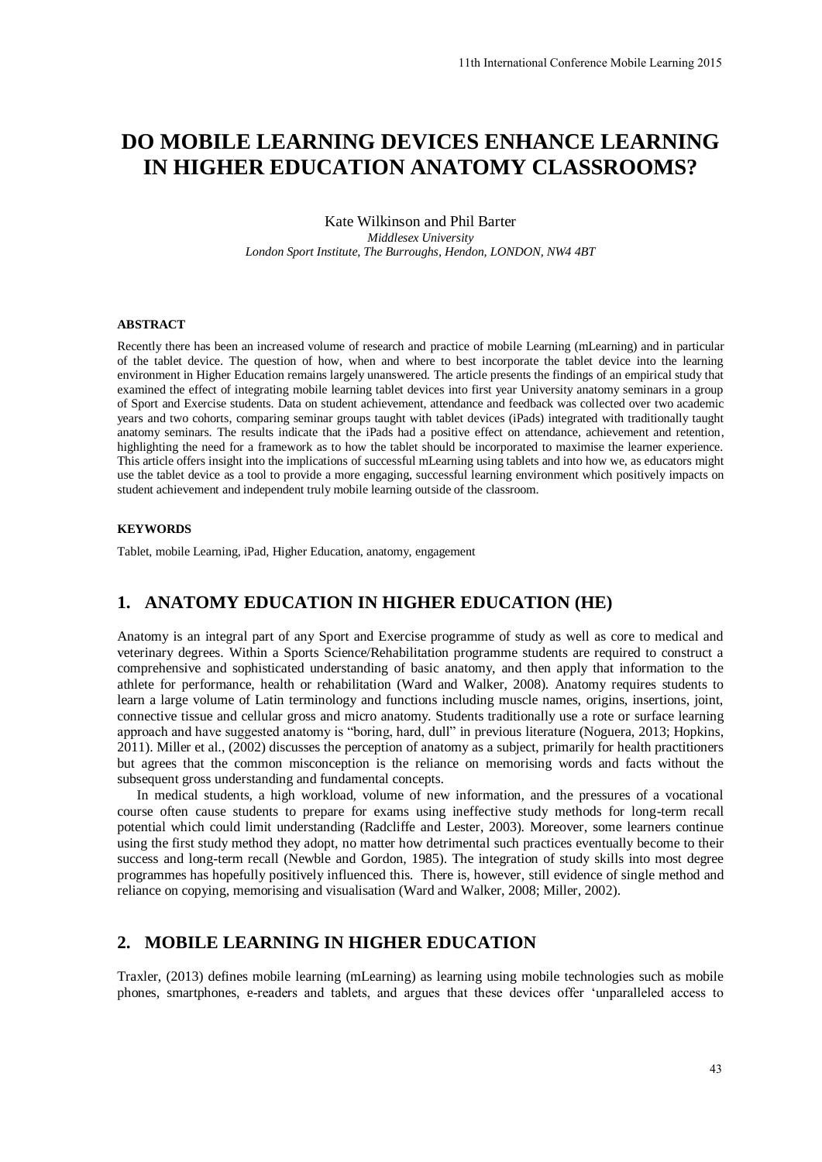# **DO MOBILE LEARNING DEVICES ENHANCE LEARNING IN HIGHER EDUCATION ANATOMY CLASSROOMS?**

#### Kate Wilkinson and Phil Barter *Middlesex University London Sport Institute, The Burroughs, Hendon, LONDON, NW4 4BT*

#### **ABSTRACT**

Recently there has been an increased volume of research and practice of mobile Learning (mLearning) and in particular of the tablet device. The question of how, when and where to best incorporate the tablet device into the learning environment in Higher Education remains largely unanswered. The article presents the findings of an empirical study that examined the effect of integrating mobile learning tablet devices into first year University anatomy seminars in a group of Sport and Exercise students. Data on student achievement, attendance and feedback was collected over two academic years and two cohorts, comparing seminar groups taught with tablet devices (iPads) integrated with traditionally taught anatomy seminars. The results indicate that the iPads had a positive effect on attendance, achievement and retention, highlighting the need for a framework as to how the tablet should be incorporated to maximise the learner experience. This article offers insight into the implications of successful mLearning using tablets and into how we, as educators might use the tablet device as a tool to provide a more engaging, successful learning environment which positively impacts on student achievement and independent truly mobile learning outside of the classroom.

#### **KEYWORDS**

Tablet, mobile Learning, iPad, Higher Education, anatomy, engagement

# **1. ANATOMY EDUCATION IN HIGHER EDUCATION (HE)**

Anatomy is an integral part of any Sport and Exercise programme of study as well as core to medical and veterinary degrees. Within a Sports Science/Rehabilitation programme students are required to construct a comprehensive and sophisticated understanding of basic anatomy, and then apply that information to the athlete for performance, health or rehabilitation (Ward and Walker, 2008). Anatomy requires students to learn a large volume of Latin terminology and functions including muscle names, origins, insertions, joint, connective tissue and cellular gross and micro anatomy. Students traditionally use a rote or surface learning approach and have suggested anatomy is "boring, hard, dull" in previous literature (Noguera, 2013; Hopkins, 2011). Miller et al., (2002) discusses the perception of anatomy as a subject, primarily for health practitioners but agrees that the common misconception is the reliance on memorising words and facts without the subsequent gross understanding and fundamental concepts. 11th International Conference Mobile Learning 2015<br> **ES ENHANCE LEARNING**<br> **ES ENHANCE LEARNING**<br> **TOMY CLASSROOMS?**<br>
thil Barter<br> *tity sting*<br> *tion, LONDON, NW4 4BT*<br> *tect*<br>
and *the ACMS* and the device into the learn

In medical students, a high workload, volume of new information, and the pressures of a vocational course often cause students to prepare for exams using ineffective study methods for long-term recall potential which could limit understanding (Radcliffe and Lester, 2003). Moreover, some learners continue using the first study method they adopt, no matter how detrimental such practices eventually become to their success and long-term recall (Newble and Gordon, 1985). The integration of study skills into most degree programmes has hopefully positively influenced this. There is, however, still evidence of single method and reliance on copying, memorising and visualisation (Ward and Walker, 2008; Miller, 2002).

# **2. MOBILE LEARNING IN HIGHER EDUCATION**

Traxler, (2013) defines mobile learning (mLearning) as learning using mobile technologies such as mobile phones, smartphones, e-readers and tablets, and argues that these devices offer 'unparalleled access to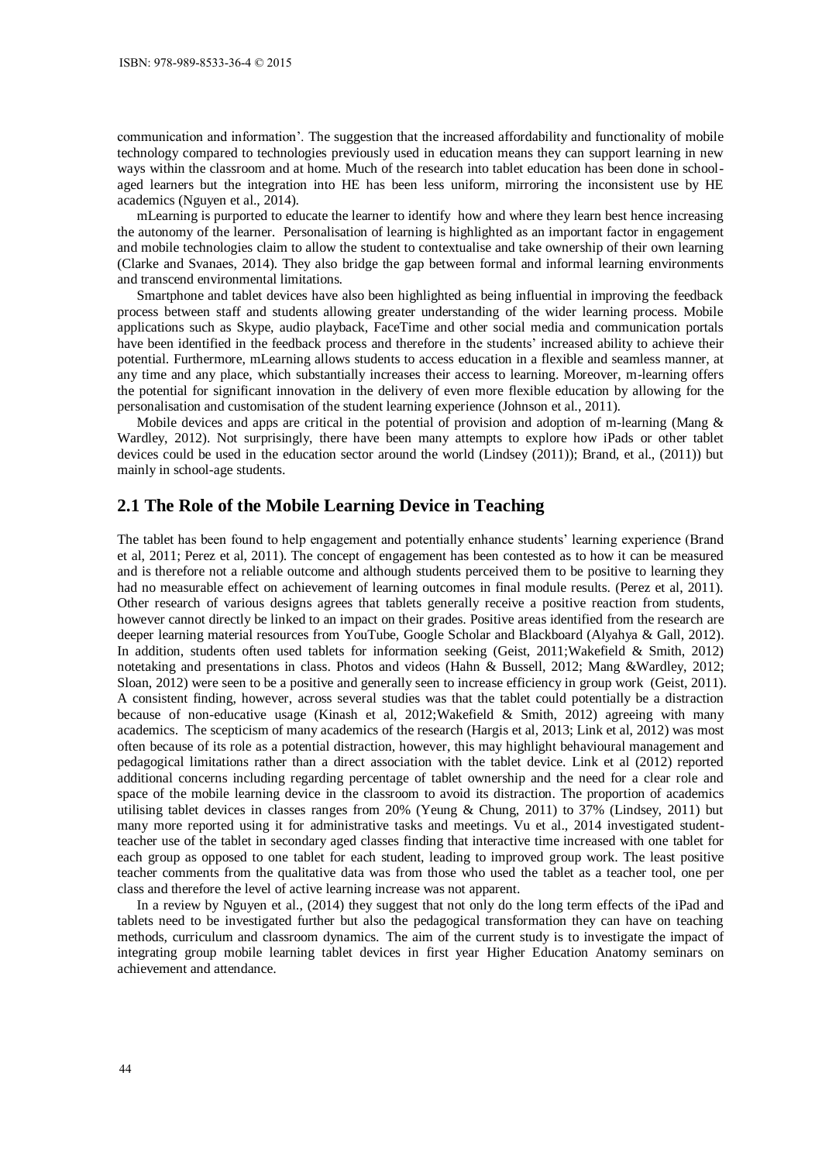communication and information'. The suggestion that the increased affordability and functionality of mobile technology compared to technologies previously used in education means they can support learning in new ways within the classroom and at home. Much of the research into tablet education has been done in schoolaged learners but the integration into HE has been less uniform, mirroring the inconsistent use by HE academics (Nguyen et al., 2014).

mLearning is purported to educate the learner to identify how and where they learn best hence increasing the autonomy of the learner. Personalisation of learning is highlighted as an important factor in engagement and mobile technologies claim to allow the student to contextualise and take ownership of their own learning (Clarke and Svanaes, 2014). They also bridge the gap between formal and informal learning environments and transcend environmental limitations.

Smartphone and tablet devices have also been highlighted as being influential in improving the feedback process between staff and students allowing greater understanding of the wider learning process. Mobile applications such as Skype, audio playback, FaceTime and other social media and communication portals have been identified in the feedback process and therefore in the students' increased ability to achieve their potential. Furthermore, mLearning allows students to access education in a flexible and seamless manner, at any time and any place, which substantially increases their access to learning. Moreover, m-learning offers the potential for significant innovation in the delivery of even more flexible education by allowing for the personalisation and customisation of the student learning experience (Johnson et al., 2011).

Mobile devices and apps are critical in the potential of provision and adoption of m-learning (Mang & Wardley, 2012). Not surprisingly, there have been many attempts to explore how iPads or other tablet devices could be used in the education sector around the world (Lindsey (2011)); Brand, et al., (2011)) but mainly in school-age students.

# **2.1 The Role of the Mobile Learning Device in Teaching**

The tablet has been found to help engagement and potentially enhance students' learning experience (Brand et al, 2011; Perez et al, 2011). The concept of engagement has been contested as to how it can be measured and is therefore not a reliable outcome and although students perceived them to be positive to learning they had no measurable effect on achievement of learning outcomes in final module results. (Perez et al, 2011). Other research of various designs agrees that tablets generally receive a positive reaction from students, however cannot directly be linked to an impact on their grades. Positive areas identified from the research are deeper learning material resources from YouTube, Google Scholar and Blackboard (Alyahya & Gall, 2012). In addition, students often used tablets for information seeking (Geist, 2011;Wakefield & Smith, 2012) notetaking and presentations in class. Photos and videos (Hahn & Bussell, 2012; Mang &Wardley, 2012; Sloan, 2012) were seen to be a positive and generally seen to increase efficiency in group work (Geist, 2011). A consistent finding, however, across several studies was that the tablet could potentially be a distraction because of non-educative usage (Kinash et al, 2012;Wakefield & Smith, 2012) agreeing with many academics. The scepticism of many academics of the research (Hargis et al, 2013; Link et al, 2012) was most often because of its role as a potential distraction, however, this may highlight behavioural management and pedagogical limitations rather than a direct association with the tablet device. Link et al (2012) reported additional concerns including regarding percentage of tablet ownership and the need for a clear role and space of the mobile learning device in the classroom to avoid its distraction. The proportion of academics utilising tablet devices in classes ranges from 20% (Yeung & Chung, 2011) to 37% (Lindsey, 2011) but many more reported using it for administrative tasks and meetings. Vu et al., 2014 investigated studentteacher use of the tablet in secondary aged classes finding that interactive time increased with one tablet for each group as opposed to one tablet for each student, leading to improved group work. The least positive teacher comments from the qualitative data was from those who used the tablet as a teacher tool, one per class and therefore the level of active learning increase was not apparent.

In a review by Nguyen et al., (2014) they suggest that not only do the long term effects of the iPad and tablets need to be investigated further but also the pedagogical transformation they can have on teaching methods, curriculum and classroom dynamics. The aim of the current study is to investigate the impact of integrating group mobile learning tablet devices in first year Higher Education Anatomy seminars on achievement and attendance.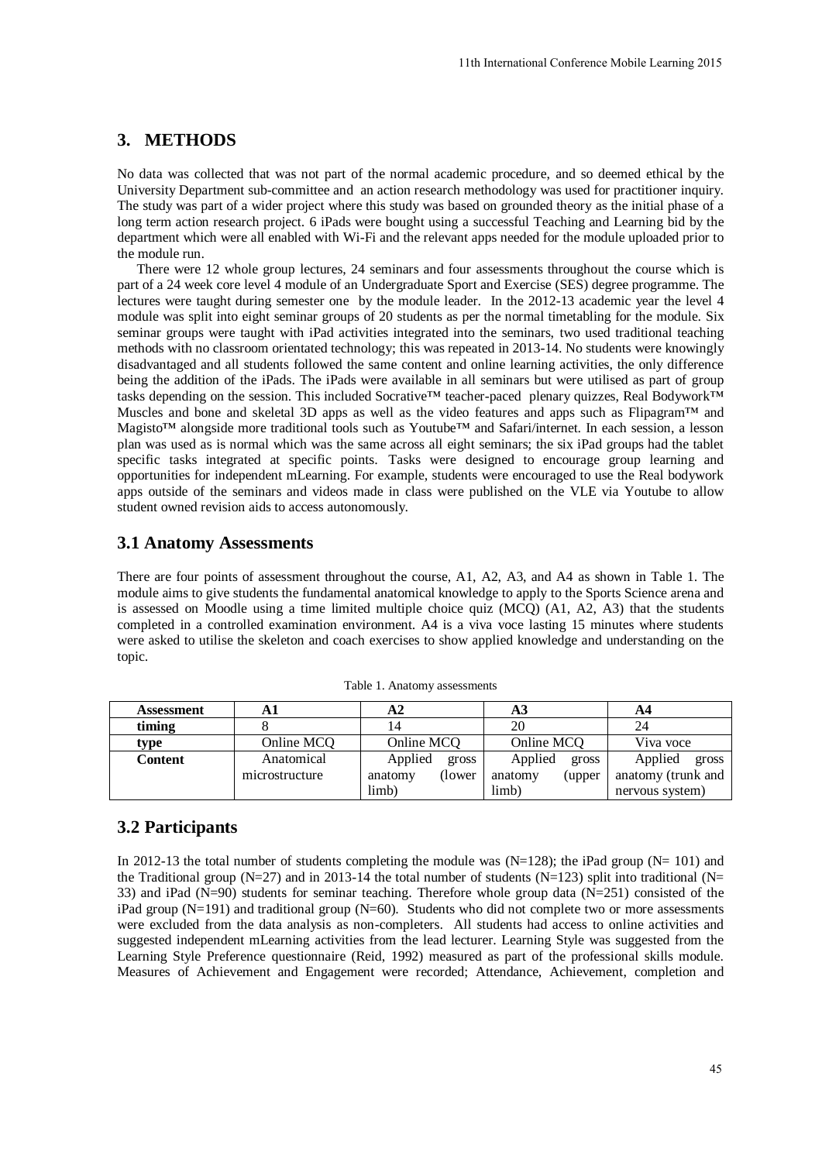# **3. METHODS**

No data was collected that was not part of the normal academic procedure, and so deemed ethical by the University Department sub-committee and an action research methodology was used for practitioner inquiry. The study was part of a wider project where this study was based on grounded theory as the initial phase of a long term action research project. 6 iPads were bought using a successful Teaching and Learning bid by the department which were all enabled with Wi-Fi and the relevant apps needed for the module uploaded prior to the module run.

There were 12 whole group lectures, 24 seminars and four assessments throughout the course which is part of a 24 week core level 4 module of an Undergraduate Sport and Exercise (SES) degree programme. The lectures were taught during semester one by the module leader. In the 2012-13 academic year the level 4 module was split into eight seminar groups of 20 students as per the normal timetabling for the module. Six seminar groups were taught with iPad activities integrated into the seminars, two used traditional teaching methods with no classroom orientated technology; this was repeated in 2013-14. No students were knowingly disadvantaged and all students followed the same content and online learning activities, the only difference being the addition of the iPads. The iPads were available in all seminars but were utilised as part of group tasks depending on the session. This included Socrative™ teacher-paced plenary quizzes, Real Bodywork™ Muscles and bone and skeletal 3D apps as well as the video features and apps such as  $Fli$ pagram<sup>™</sup> and Magisto™ alongside more traditional tools such as Youtube™ and Safari/internet. In each session, a lesson plan was used as is normal which was the same across all eight seminars; the six iPad groups had the tablet specific tasks integrated at specific points. Tasks were designed to encourage group learning and opportunities for independent mLearning. For example, students were encouraged to use the Real bodywork apps outside of the seminars and videos made in class were published on the VLE via Youtube to allow student owned revision aids to access autonomously. 11th International Conference Mobile Learning 2015<br>
lemic procedure, and so deemed ethical by the<br>
methodology was used for practitioner inquiry<br>
as methodology was used for practitioner inquiry<br>
a successful Teaching and

#### **3.1 Anatomy Assessments**

There are four points of assessment throughout the course, A1, A2, A3, and A4 as shown in Table 1. The module aims to give students the fundamental anatomical knowledge to apply to the Sports Science arena and is assessed on Moodle using a time limited multiple choice quiz (MCQ) (A1, A2, A3) that the students completed in a controlled examination environment. A4 is a viva voce lasting 15 minutes where students were asked to utilise the skeleton and coach exercises to show applied knowledge and understanding on the topic.

| Assessment |                | A2                 |                   | A4                 |
|------------|----------------|--------------------|-------------------|--------------------|
| timing     |                |                    | 20                | 24                 |
| type       | Online MCO     | Online MCO         | Online MCQ        | Viva voce          |
| Content    | Anatomical     | Applied<br>gross   | Applied<br>gross  | Applied<br>gross   |
|            | microstructure | (lower)<br>anatomy | anatomy<br>(upper | anatomy (trunk and |
|            |                | limb)              | limb)             | nervous system)    |

Table 1. Anatomy assessments

### **3.2 Participants**

In 2012-13 the total number of students completing the module was  $(N=128)$ ; the iPad group  $(N=101)$  and the Traditional group (N=27) and in 2013-14 the total number of students (N=123) split into traditional (N= 33) and iPad  $(N=90)$  students for seminar teaching. Therefore whole group data  $(N=251)$  consisted of the iPad group  $(N=191)$  and traditional group  $(N=60)$ . Students who did not complete two or more assessments were excluded from the data analysis as non-completers. All students had access to online activities and suggested independent mLearning activities from the lead lecturer. Learning Style was suggested from the Learning Style Preference questionnaire (Reid, 1992) measured as part of the professional skills module. Measures of Achievement and Engagement were recorded; Attendance, Achievement, completion and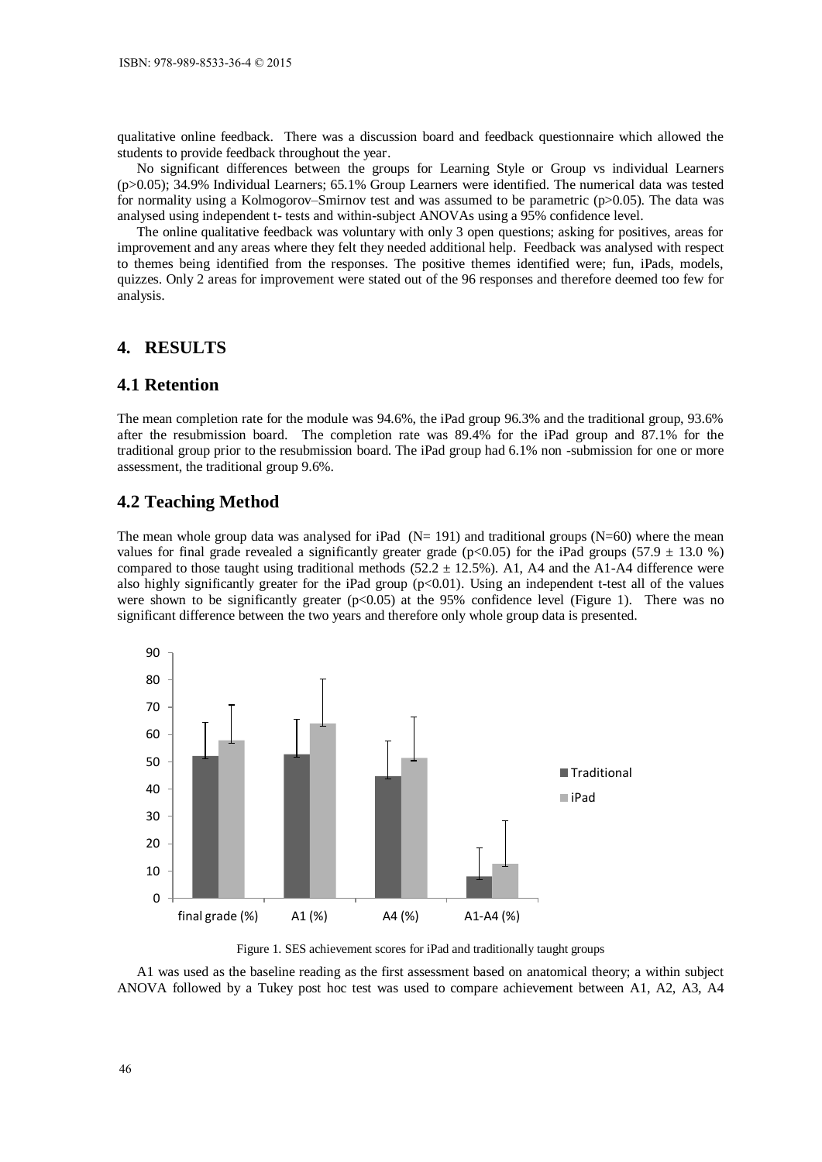qualitative online feedback. There was a discussion board and feedback questionnaire which allowed the students to provide feedback throughout the year.

No significant differences between the groups for Learning Style or Group vs individual Learners (p>0.05); 34.9% Individual Learners; 65.1% Group Learners were identified. The numerical data was tested for normality using a Kolmogorov–Smirnov test and was assumed to be parametric (p>0.05). The data was analysed using independent t- tests and within-subject ANOVAs using a 95% confidence level.

The online qualitative feedback was voluntary with only 3 open questions; asking for positives, areas for improvement and any areas where they felt they needed additional help. Feedback was analysed with respect to themes being identified from the responses. The positive themes identified were; fun, iPads, models, quizzes. Only 2 areas for improvement were stated out of the 96 responses and therefore deemed too few for analysis.

## **4. RESULTS**

# **4.1 Retention**

The mean completion rate for the module was 94.6%, the iPad group 96.3% and the traditional group, 93.6% after the resubmission board. The completion rate was 89.4% for the iPad group and 87.1% for the traditional group prior to the resubmission board. The iPad group had 6.1% non -submission for one or more assessment, the traditional group 9.6%.

#### **4.2 Teaching Method**

The mean whole group data was analysed for iPad  $(N= 191)$  and traditional groups  $(N=60)$  where the mean values for final grade revealed a significantly greater grade ( $p<0.05$ ) for the iPad groups (57.9  $\pm$  13.0 %) compared to those taught using traditional methods (52.2  $\pm$  12.5%). A1, A4 and the A1-A4 difference were also highly significantly greater for the iPad group  $(p<0.01)$ . Using an independent t-test all of the values were shown to be significantly greater  $(p<0.05)$  at the 95% confidence level (Figure 1). There was no significant difference between the two years and therefore only whole group data is presented.



Figure 1. SES achievement scores for iPad and traditionally taught groups

A1 was used as the baseline reading as the first assessment based on anatomical theory; a within subject ANOVA followed by a Tukey post hoc test was used to compare achievement between A1, A2, A3, A4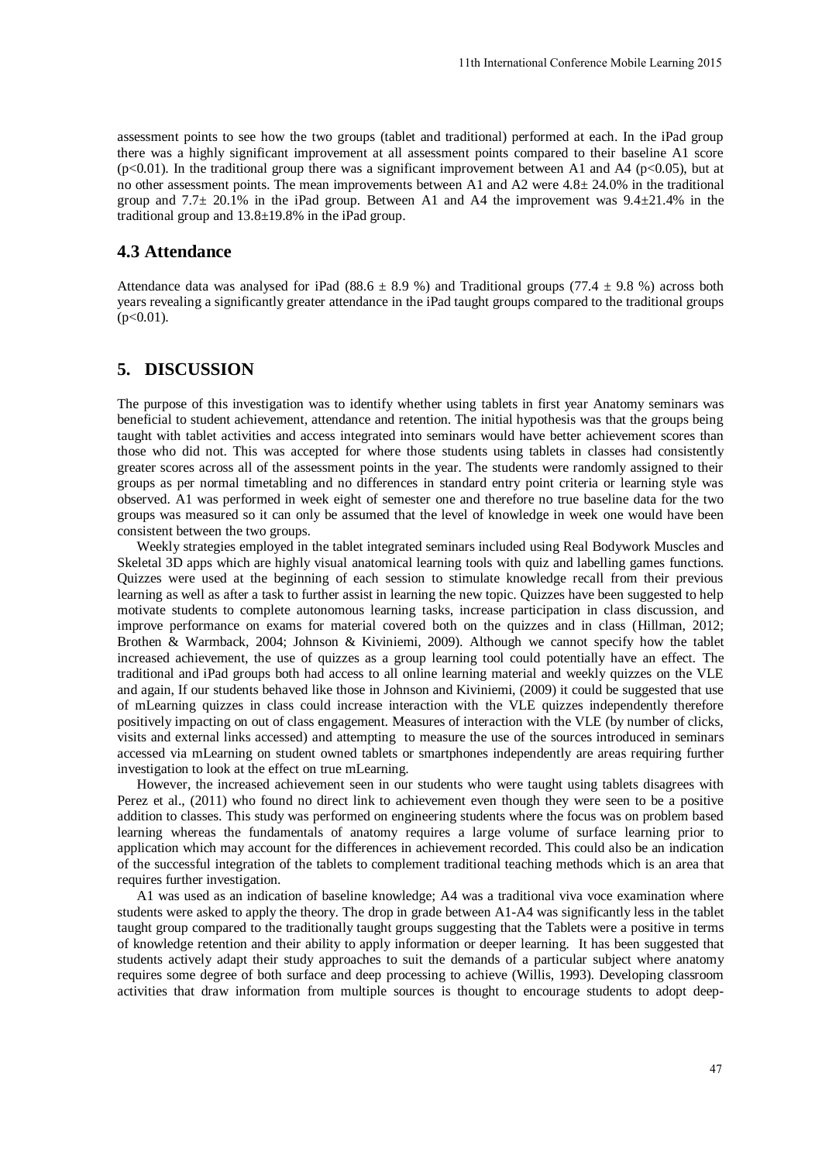assessment points to see how the two groups (tablet and traditional) performed at each. In the iPad group there was a highly significant improvement at all assessment points compared to their baseline A1 score  $(p<0.01)$ . In the traditional group there was a significant improvement between A1 and A4 ( $p<0.05$ ), but at no other assessment points. The mean improvements between A1 and A2 were 4.8± 24.0% in the traditional group and 7.7 $\pm$  20.1% in the iPad group. Between A1 and A4 the improvement was 9.4 $\pm$ 21.4% in the traditional group and 13.8±19.8% in the iPad group.

#### **4.3 Attendance**

Attendance data was analysed for iPad (88.6  $\pm$  8.9 %) and Traditional groups (77.4  $\pm$  9.8 %) across both years revealing a significantly greater attendance in the iPad taught groups compared to the traditional groups  $(p<0.01)$ .

## **5. DISCUSSION**

The purpose of this investigation was to identify whether using tablets in first year Anatomy seminars was beneficial to student achievement, attendance and retention. The initial hypothesis was that the groups being taught with tablet activities and access integrated into seminars would have better achievement scores than those who did not. This was accepted for where those students using tablets in classes had consistently greater scores across all of the assessment points in the year. The students were randomly assigned to their groups as per normal timetabling and no differences in standard entry point criteria or learning style was observed. A1 was performed in week eight of semester one and therefore no true baseline data for the two groups was measured so it can only be assumed that the level of knowledge in week one would have been consistent between the two groups.

Weekly strategies employed in the tablet integrated seminars included using Real Bodywork Muscles and Skeletal 3D apps which are highly visual anatomical learning tools with quiz and labelling games functions. Quizzes were used at the beginning of each session to stimulate knowledge recall from their previous learning as well as after a task to further assist in learning the new topic. Quizzes have been suggested to help motivate students to complete autonomous learning tasks, increase participation in class discussion, and improve performance on exams for material covered both on the quizzes and in class (Hillman, 2012; Brothen & Warmback, 2004; Johnson & Kiviniemi, 2009). Although we cannot specify how the tablet increased achievement, the use of quizzes as a group learning tool could potentially have an effect. The traditional and iPad groups both had access to all online learning material and weekly quizzes on the VLE and again, If our students behaved like those in Johnson and Kiviniemi, (2009) it could be suggested that use of mLearning quizzes in class could increase interaction with the VLE quizzes independently therefore positively impacting on out of class engagement. Measures of interaction with the VLE (by number of clicks, visits and external links accessed) and attempting to measure the use of the sources introduced in seminars accessed via mLearning on student owned tablets or smartphones independently are areas requiring further investigation to look at the effect on true mLearning. 11th International Conference Mobile Learning 2015<br>
ditional) performed at each. In the iPad group<br>
nt points compared to their haseline A1 score<br>
not points compared to their haseline A1 score<br>
not points compared to the

However, the increased achievement seen in our students who were taught using tablets disagrees with Perez et al., (2011) who found no direct link to achievement even though they were seen to be a positive addition to classes. This study was performed on engineering students where the focus was on problem based learning whereas the fundamentals of anatomy requires a large volume of surface learning prior to application which may account for the differences in achievement recorded. This could also be an indication of the successful integration of the tablets to complement traditional teaching methods which is an area that requires further investigation.

A1 was used as an indication of baseline knowledge; A4 was a traditional viva voce examination where students were asked to apply the theory. The drop in grade between A1-A4 was significantly less in the tablet taught group compared to the traditionally taught groups suggesting that the Tablets were a positive in terms of knowledge retention and their ability to apply information or deeper learning. It has been suggested that students actively adapt their study approaches to suit the demands of a particular subject where anatomy requires some degree of both surface and deep processing to achieve (Willis, 1993). Developing classroom activities that draw information from multiple sources is thought to encourage students to adopt deep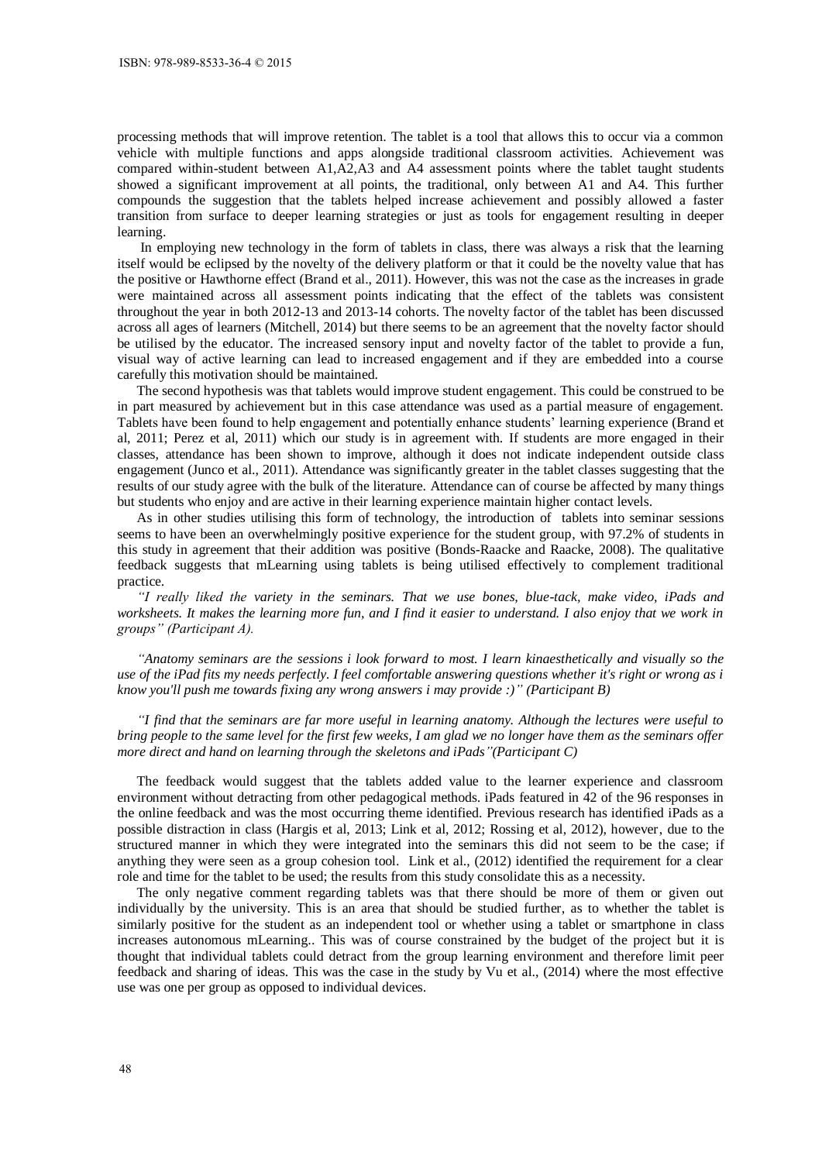processing methods that will improve retention. The tablet is a tool that allows this to occur via a common vehicle with multiple functions and apps alongside traditional classroom activities. Achievement was compared within-student between A1,A2,A3 and A4 assessment points where the tablet taught students showed a significant improvement at all points, the traditional, only between A1 and A4. This further compounds the suggestion that the tablets helped increase achievement and possibly allowed a faster transition from surface to deeper learning strategies or just as tools for engagement resulting in deeper learning.

 In employing new technology in the form of tablets in class, there was always a risk that the learning itself would be eclipsed by the novelty of the delivery platform or that it could be the novelty value that has the positive or Hawthorne effect (Brand et al., 2011). However, this was not the case as the increases in grade were maintained across all assessment points indicating that the effect of the tablets was consistent throughout the year in both 2012-13 and 2013-14 cohorts. The novelty factor of the tablet has been discussed across all ages of learners (Mitchell, 2014) but there seems to be an agreement that the novelty factor should be utilised by the educator. The increased sensory input and novelty factor of the tablet to provide a fun, visual way of active learning can lead to increased engagement and if they are embedded into a course carefully this motivation should be maintained.

The second hypothesis was that tablets would improve student engagement. This could be construed to be in part measured by achievement but in this case attendance was used as a partial measure of engagement. Tablets have been found to help engagement and potentially enhance students' learning experience (Brand et al, 2011; Perez et al, 2011) which our study is in agreement with. If students are more engaged in their classes, attendance has been shown to improve, although it does not indicate independent outside class engagement (Junco et al., 2011). Attendance was significantly greater in the tablet classes suggesting that the results of our study agree with the bulk of the literature. Attendance can of course be affected by many things but students who enjoy and are active in their learning experience maintain higher contact levels.

As in other studies utilising this form of technology, the introduction of tablets into seminar sessions seems to have been an overwhelmingly positive experience for the student group, with 97.2% of students in this study in agreement that their addition was positive (Bonds-Raacke and Raacke, 2008). The qualitative feedback suggests that mLearning using tablets is being utilised effectively to complement traditional practice.

*"I really liked the variety in the seminars. That we use bones, blue-tack, make video, iPads and worksheets. It makes the learning more fun, and I find it easier to understand. I also enjoy that we work in groups" (Participant A).*

*"Anatomy seminars are the sessions i look forward to most. I learn kinaesthetically and visually so the use of the iPad fits my needs perfectly. I feel comfortable answering questions whether it's right or wrong as i know you'll push me towards fixing any wrong answers i may provide :)" (Participant B)*

*"I find that the seminars are far more useful in learning anatomy. Although the lectures were useful to bring people to the same level for the first few weeks, I am glad we no longer have them as the seminars offer more direct and hand on learning through the skeletons and iPads"(Participant C)* 

The feedback would suggest that the tablets added value to the learner experience and classroom environment without detracting from other pedagogical methods. iPads featured in 42 of the 96 responses in the online feedback and was the most occurring theme identified. Previous research has identified iPads as a possible distraction in class (Hargis et al, 2013; Link et al, 2012; Rossing et al, 2012), however, due to the structured manner in which they were integrated into the seminars this did not seem to be the case; if anything they were seen as a group cohesion tool. Link et al., (2012) identified the requirement for a clear role and time for the tablet to be used; the results from this study consolidate this as a necessity.

The only negative comment regarding tablets was that there should be more of them or given out individually by the university. This is an area that should be studied further, as to whether the tablet is similarly positive for the student as an independent tool or whether using a tablet or smartphone in class increases autonomous mLearning.. This was of course constrained by the budget of the project but it is thought that individual tablets could detract from the group learning environment and therefore limit peer feedback and sharing of ideas. This was the case in the study by Vu et al., (2014) where the most effective use was one per group as opposed to individual devices.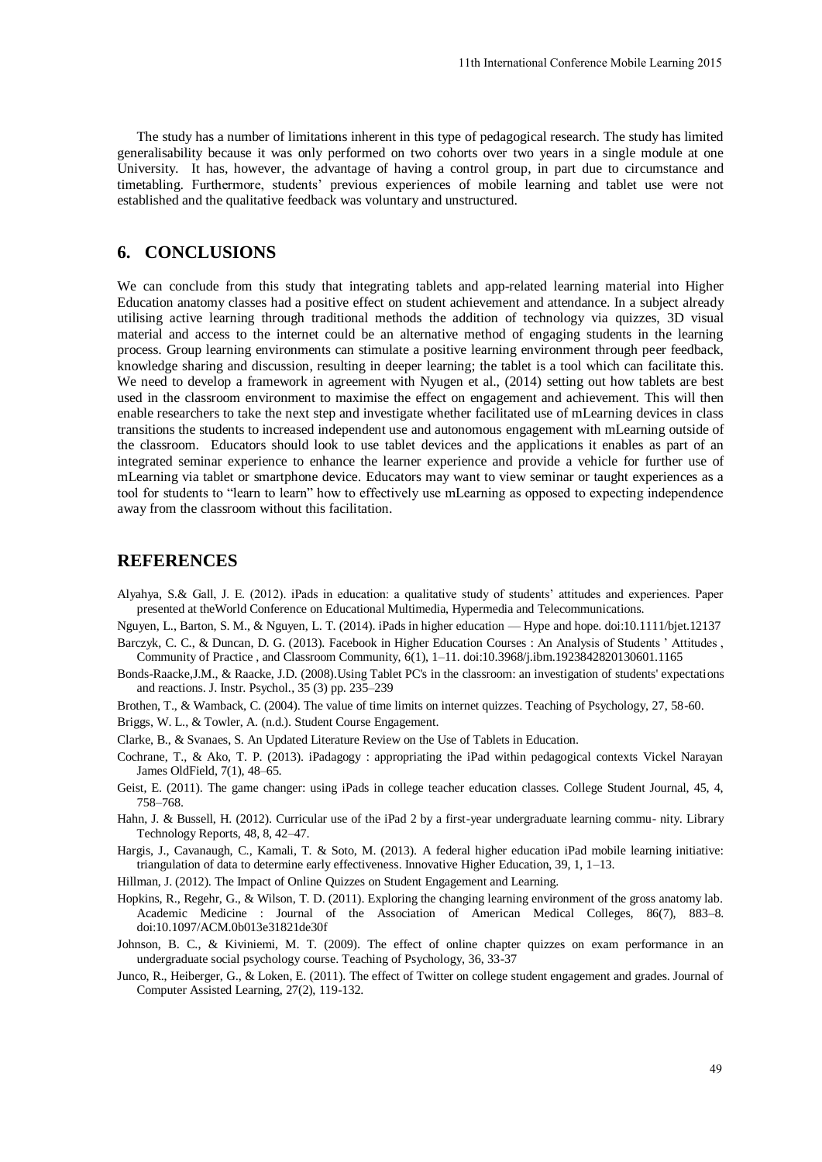The study has a number of limitations inherent in this type of pedagogical research. The study has limited generalisability because it was only performed on two cohorts over two years in a single module at one University. It has, however, the advantage of having a control group, in part due to circumstance and timetabling. Furthermore, students' previous experiences of mobile learning and tablet use were not established and the qualitative feedback was voluntary and unstructured.

# **6. CONCLUSIONS**

We can conclude from this study that integrating tablets and app-related learning material into Higher Education anatomy classes had a positive effect on student achievement and attendance. In a subject already utilising active learning through traditional methods the addition of technology via quizzes, 3D visual material and access to the internet could be an alternative method of engaging students in the learning process. Group learning environments can stimulate a positive learning environment through peer feedback, knowledge sharing and discussion, resulting in deeper learning; the tablet is a tool which can facilitate this. We need to develop a framework in agreement with Nyugen et al., (2014) setting out how tablets are best used in the classroom environment to maximise the effect on engagement and achievement. This will then enable researchers to take the next step and investigate whether facilitated use of mLearning devices in class transitions the students to increased independent use and autonomous engagement with mLearning outside of the classroom. Educators should look to use tablet devices and the applications it enables as part of an integrated seminar experience to enhance the learner experience and provide a vehicle for further use of mLearning via tablet or smartphone device. Educators may want to view seminar or taught experiences as a tool for students to "learn to learn" how to effectively use mLearning as opposed to expecting independence away from the classroom without this facilitation. 11th International Conference Mobile Learning 2015<br>
e of pedagogical research. The study has limited<br>
corts over two years in a single module at one<br>
control group, in part due to circumstance ane<br>
of mobile learning and t

#### **REFERENCES**

Alyahya, S.& Gall, J. E. (2012). iPads in education: a qualitative study of students' attitudes and experiences. Paper presented at theWorld Conference on Educational Multimedia, Hypermedia and Telecommunications.

Nguyen, L., Barton, S. M., & Nguyen, L. T. (2014). iPads in higher education — Hype and hope. doi:10.1111/bjet.12137 Barczyk, C. C., & Duncan, D. G. (2013). Facebook in Higher Education Courses : An Analysis of Students ' Attitudes ,

Community of Practice , and Classroom Community, 6(1), 1–11. doi:10.3968/j.ibm.1923842820130601.1165

- Bonds-Raacke,J.M., & Raacke, J.D. (2008).Using Tablet PC's in the classroom: an investigation of students' expectations and reactions. J. Instr. Psychol., 35 (3) pp. 235–239
- Brothen, T., & Wamback, C. (2004). The value of time limits on internet quizzes. Teaching of Psychology, 27, 58-60.

Briggs, W. L., & Towler, A. (n.d.). Student Course Engagement.

- Clarke, B., & Svanaes, S. An Updated Literature Review on the Use of Tablets in Education.
- Cochrane, T., & Ako, T. P. (2013). iPadagogy : appropriating the iPad within pedagogical contexts Vickel Narayan James OldField, 7(1), 48–65.
- Geist, E. (2011). The game changer: using iPads in college teacher education classes. College Student Journal, 45, 4, 758–768.
- Hahn, J. & Bussell, H. (2012). Curricular use of the iPad 2 by a first-year undergraduate learning commu- nity. Library Technology Reports, 48, 8, 42–47.
- Hargis, J., Cavanaugh, C., Kamali, T. & Soto, M. (2013). A federal higher education iPad mobile learning initiative: triangulation of data to determine early effectiveness. Innovative Higher Education, 39, 1, 1–13.
- Hillman, J. (2012). The Impact of Online Quizzes on Student Engagement and Learning.
- Hopkins, R., Regehr, G., & Wilson, T. D. (2011). Exploring the changing learning environment of the gross anatomy lab. Academic Medicine : Journal of the Association of American Medical Colleges, 86(7), 883–8. doi:10.1097/ACM.0b013e31821de30f
- Johnson, B. C., & Kiviniemi, M. T. (2009). The effect of online chapter quizzes on exam performance in an undergraduate social psychology course. Teaching of Psychology, 36, 33-37
- Junco, R., Heiberger, G., & Loken, E. (2011). The effect of Twitter on college student engagement and grades. Journal of Computer Assisted Learning, 27(2), 119-132.